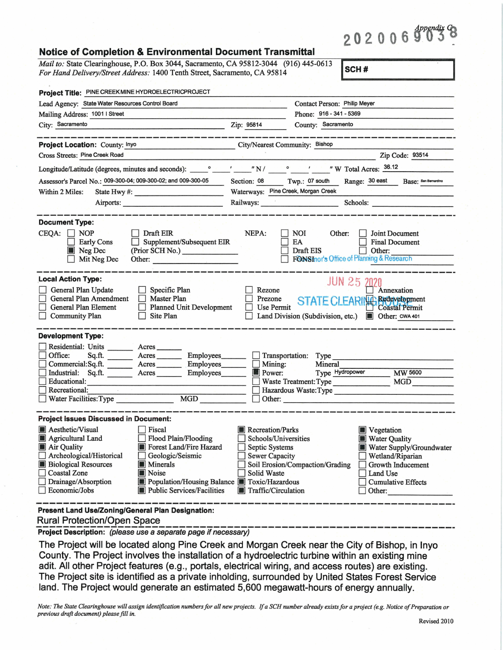## $202006903$

| <u>NUNCE OF COMPIGNOM &amp; ENVIRONMENTAL DOCUMENT HANSIMITAL</u>                                                                                                                                                                                                                                                                       |                                                                                                                                                                                                                                                                                                                                                                                                  |
|-----------------------------------------------------------------------------------------------------------------------------------------------------------------------------------------------------------------------------------------------------------------------------------------------------------------------------------------|--------------------------------------------------------------------------------------------------------------------------------------------------------------------------------------------------------------------------------------------------------------------------------------------------------------------------------------------------------------------------------------------------|
| Mail to: State Clearinghouse, P.O. Box 3044, Sacramento, CA 95812-3044 (916) 445-0613<br>For Hand Delivery/Street Address: 1400 Tenth Street, Sacramento, CA 95814                                                                                                                                                                      | SCH#                                                                                                                                                                                                                                                                                                                                                                                             |
| Project Title: PINE CREEK MINE HYDROELECTRICPROJECT                                                                                                                                                                                                                                                                                     |                                                                                                                                                                                                                                                                                                                                                                                                  |
| Lead Agency: State Water Resources Control Board                                                                                                                                                                                                                                                                                        | Contact Person: Philip Meyer                                                                                                                                                                                                                                                                                                                                                                     |
| Mailing Address: 1001   Street                                                                                                                                                                                                                                                                                                          | Phone: 916 - 341 - 5369                                                                                                                                                                                                                                                                                                                                                                          |
| City: Sacramento<br><u> 1965 - John Harrison, fransk fotballsk politiker (d. 1986)</u>                                                                                                                                                                                                                                                  | Zip: 95814<br>County: Sacramento                                                                                                                                                                                                                                                                                                                                                                 |
|                                                                                                                                                                                                                                                                                                                                         |                                                                                                                                                                                                                                                                                                                                                                                                  |
| Project Location: County: Inyo                                                                                                                                                                                                                                                                                                          | <b>City/Nearest Community: Bishop</b>                                                                                                                                                                                                                                                                                                                                                            |
| Cross Streets: Pine Creek Road                                                                                                                                                                                                                                                                                                          | Zip Code: 93514                                                                                                                                                                                                                                                                                                                                                                                  |
|                                                                                                                                                                                                                                                                                                                                         |                                                                                                                                                                                                                                                                                                                                                                                                  |
| Assessor's Parcel No.: 009-300-04; 009-300-02; and 009-300-05                                                                                                                                                                                                                                                                           | Twp.: 07 south<br>Section: 08<br>Range: 30 east<br><b>Base:</b> San Bernardino                                                                                                                                                                                                                                                                                                                   |
| State Hwy #:<br>Within 2 Miles:                                                                                                                                                                                                                                                                                                         | Waterways: Pine Creek, Morgan Creek                                                                                                                                                                                                                                                                                                                                                              |
| Airports:                                                                                                                                                                                                                                                                                                                               | Railways: New York 1988<br>Schools: The Contract of the Contract of the Contract of the Contract of the Contract of the Contract of the Contract of the Contract of the Contract of the Contract of the Contract of the Contract of the Contract of the C                                                                                                                                        |
|                                                                                                                                                                                                                                                                                                                                         |                                                                                                                                                                                                                                                                                                                                                                                                  |
| <b>Document Type:</b><br>CEQA:<br><b>NOP</b><br>Draft EIR<br>Supplement/Subsequent EIR<br><b>Early Cons</b><br>Neg Dec<br>(Prior SCH No.)<br>Mit Neg Dec<br>Other:<br><b>Local Action Type:</b><br>General Plan Update<br>Specific Plan<br><b>General Plan Amendment</b><br><b>Master Plan</b>                                          | NEPA:<br>NOI<br>Other:<br>Joint Document<br>EA<br><b>Final Document</b><br>Draft EIS<br>Other:<br>FONSInor's Office of Planning & Research<br><b>JUN 25 2020</b><br>Rezone<br>Annexation<br>Prezone<br>STATE CLEARING Redevelopment                                                                                                                                                              |
| General Plan Element<br><b>Planned Unit Development</b><br><b>Community Plan</b><br>Site Plan                                                                                                                                                                                                                                           | <b>Use Permit</b><br><b>Coastal Permit</b><br>Land Division (Subdivision, etc.)<br><b>D</b> Other: CWA 401                                                                                                                                                                                                                                                                                       |
| <b>Development Type:</b>                                                                                                                                                                                                                                                                                                                |                                                                                                                                                                                                                                                                                                                                                                                                  |
| Residential: Units Acres<br>Office:<br>Employees_<br>Sq.ft.<br>Acres<br>Employees_<br>Commercial:Sq.ft.<br>Acres<br>Industrial: Sq.ft.<br>Employees<br>Acres<br>Educational:<br>Recreational:<br><b>MGD</b><br>Water Facilities: Type                                                                                                   | Transportation: Type<br>Mining:<br>Mineral<br>Type Hydropower<br><b>MW 5600</b><br>$\blacksquare$ Power:<br>Waste Treatment: Type<br><b>MGD</b><br>Hazardous Waste: Type<br>Other:                                                                                                                                                                                                               |
| <b>Project Issues Discussed in Document:</b>                                                                                                                                                                                                                                                                                            |                                                                                                                                                                                                                                                                                                                                                                                                  |
| <b>Aesthetic/Visual</b><br>Fiscal<br>Agricultural Land<br>Flood Plain/Flooding<br>Air Quality<br>Forest Land/Fire Hazard<br>Archeological/Historical<br>Geologic/Seismic<br><b>Biological Resources</b><br><b>Minerals</b><br><b>Coastal Zone</b><br>Noise<br>Drainage/Absorption<br>Economic/Jobs<br><b>Public Services/Facilities</b> | <b>Recreation/Parks</b><br><b>Vegetation</b><br>Schools/Universities<br><b>Water Quality</b><br>Septic Systems<br>Water Supply/Groundwater<br><b>Sewer Capacity</b><br>Wetland/Riparian<br>Soil Erosion/Compaction/Grading<br>Growth Inducement<br>Solid Waste<br>Land Use<br>Population/Housing Balance <b>TE Toxic/Hazardous</b><br><b>Cumulative Effects</b><br>Traffic/Circulation<br>Other: |
| Present Land Use/Zoning/General Plan Designation:                                                                                                                                                                                                                                                                                       |                                                                                                                                                                                                                                                                                                                                                                                                  |

Rural Protection/Open Space ------------------------------------------- **Project Description:** (please use a separate page if necessary)

**Notice of Completion** & **Environmental Document Transmittal** 

The Project will be located along Pine Creek and Morgan Creek near the City of Bishop, in Inyo County. The Project involves the installation of a hydroelectric turbine within an existing mine adit. All other Project features (e.g., portals, electrical wiring, and access routes) are existing. The Project site is identified as a private inholding, surrounded by United States Forest Service land. The Project would generate an estimated 5,600 megawatt-hours of energy annually.

*Note: The State Clearinghouse will assign identification numbers for all new projects. If a SCH number already exists for a project (e.g. Notice of Preparation or previous draft document) please fill in.*